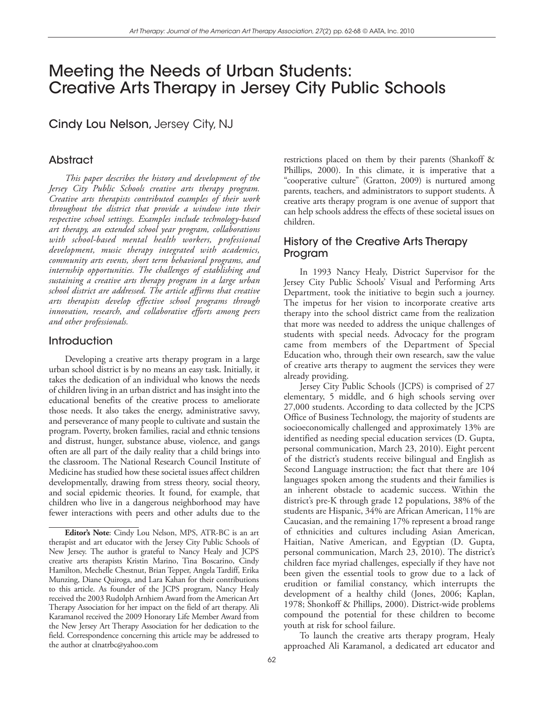# Meeting the Needs of Urban Students: Creative Arts Therapy in Jersey City Public Schools

Cindy Lou Nelson, Jersey City, NJ

#### Abstract

*This paper describes the history and development of the Jersey City Public Schools creative arts therapy program. Creative arts therapists contributed examples of their work throughout the district that provide a window into their respective school settings. Examples include technology-based art therapy, an extended school year program, collaborations with school-based mental health workers, professional development, music therapy integrated with academics, community arts events, short term behavioral programs, and internship opportunities. The challenges of establishing and sustaining a creative arts therapy program in a large urban school district are addressed. The article affirms that creative arts therapists develop effective school programs through innovation, research, and collaborative efforts among peers and other professionals.*

#### **Introduction**

Developing a creative arts therapy program in a large urban school district is by no means an easy task. Initially, it takes the dedication of an individual who knows the needs of children living in an urban district and has insight into the educational benefits of the creative process to ameliorate those needs. It also takes the energy, administrative savvy, and perseverance of many people to cultivate and sustain the program. Poverty, broken families, racial and ethnic tensions and distrust, hunger, substance abuse, violence, and gangs often are all part of the daily reality that a child brings into the classroom. The National Research Council Institute of Medicine has studied how these societal issues affect children developmentally, drawing from stress theory, social theory, and social epidemic theories. It found, for example, that children who live in a dangerous neighborhood may have fewer interactions with peers and other adults due to the

restrictions placed on them by their parents (Shankoff & Phillips, 2000). In this climate, it is imperative that a "cooperative culture" (Gratton, 2009) is nurtured among parents, teachers, and administrators to support students. A creative arts therapy program is one avenue of support that can help schools address the effects of these societal issues on children.

#### History of the Creative Arts Therapy Program

In 1993 Nancy Healy, District Supervisor for the Jersey City Public Schools' Visual and Performing Arts Department, took the initiative to begin such a journey. The impetus for her vision to incorporate creative arts therapy into the school district came from the realization that more was needed to address the unique challenges of students with special needs. Advocacy for the program came from members of the Department of Special Education who, through their own research, saw the value of creative arts therapy to augment the services they were already providing.

Jersey City Public Schools (JCPS) is comprised of 27 elementary, 5 middle, and 6 high schools serving over 27,000 students. According to data collected by the JCPS Office of Business Technology, the majority of students are socioeconomically challenged and approximately 13% are identified as needing special education services (D. Gupta, personal communication, March 23, 2010). Eight percent of the district's students receive bilingual and English as Second Language instruction; the fact that there are 104 languages spoken among the students and their families is an inherent obstacle to academic success. Within the district's pre-K through grade 12 populations, 38% of the students are Hispanic, 34% are African American, 11% are Caucasian, and the remaining 17% represent a broad range of ethnicities and cultures including Asian American, Haitian, Native American, and Egyptian (D. Gupta, personal communication, March 23, 2010). The district's children face myriad challenges, especially if they have not been given the essential tools to grow due to a lack of erudition or familial constancy, which interrupts the development of a healthy child (Jones, 2006; Kaplan, 1978; Shonkoff & Phillips, 2000). District-wide problems compound the potential for these children to become youth at risk for school failure.

To launch the creative arts therapy program, Healy approached Ali Karamanol, a dedicated art educator and

**Editor's Note**: Cindy Lou Nelson, MPS, ATR-BC is an art therapist and art educator with the Jersey City Public Schools of New Jersey. The author is grateful to Nancy Healy and JCPS creative arts therapists Kristin Marino, Tina Boscarino, Cindy Hamilton, Mechelle Chestnut, Brian Tepper, Angela Tardiff, Erika Munzing, Diane Quiroga, and Lara Kahan for their contributions to this article. As founder of the JCPS program, Nancy Healy received the 2003 Rudolph Arnhiem Award from the American Art Therapy Association for her impact on the field of art therapy. Ali Karamanol received the 2009 Honorary Life Member Award from the New Jersey Art Therapy Association for her dedication to the field. Correspondence concerning this article may be addressed to the author at clnatrbc@yahoo.com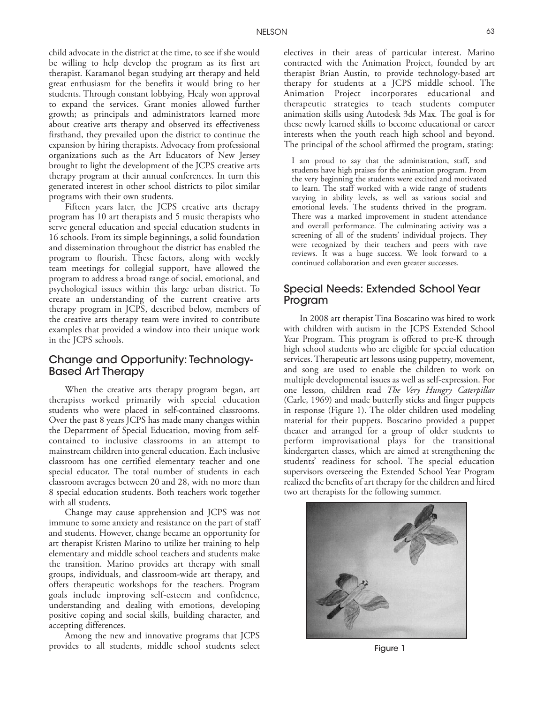child advocate in the district at the time, to see if she would be willing to help develop the program as its first art therapist. Karamanol began studying art therapy and held great enthusiasm for the benefits it would bring to her students. Through constant lobbying, Healy won approval to expand the services. Grant monies allowed further growth; as principals and administrators learned more about creative arts therapy and observed its effectiveness firsthand, they prevailed upon the district to continue the expansion by hiring therapists. Advocacy from professional organizations such as the Art Educators of New Jersey brought to light the development of the JCPS creative arts therapy program at their annual conferences. In turn this generated interest in other school districts to pilot similar programs with their own students.

Fifteen years later, the JCPS creative arts therapy program has 10 art therapists and 5 music therapists who serve general education and special education students in 16 schools. From its simple beginnings, a solid foundation and dissemination throughout the district has enabled the program to flourish. These factors, along with weekly team meetings for collegial support, have allowed the program to address a broad range of social, emotional, and psychological issues within this large urban district. To create an understanding of the current creative arts therapy program in JCPS, described below, members of the creative arts therapy team were invited to contribute examples that provided a window into their unique work in the JCPS schools.

#### Change and Opportunity: Technology-Based Art Therapy

When the creative arts therapy program began, art therapists worked primarily with special education students who were placed in self-contained classrooms. Over the past 8 years JCPS has made many changes within the Department of Special Education, moving from selfcontained to inclusive classrooms in an attempt to mainstream children into general education. Each inclusive classroom has one certified elementary teacher and one special educator. The total number of students in each classroom averages between 20 and 28, with no more than 8 special education students. Both teachers work together with all students.

Change may cause apprehension and JCPS was not immune to some anxiety and resistance on the part of staff and students. However, change became an opportunity for art therapist Kristen Marino to utilize her training to help elementary and middle school teachers and students make the transition. Marino provides art therapy with small groups, individuals, and classroom-wide art therapy, and offers therapeutic workshops for the teachers. Program goals include improving self-esteem and confidence, understanding and dealing with emotions, developing positive coping and social skills, building character, and accepting differences.

Among the new and innovative programs that JCPS provides to all students, middle school students select electives in their areas of particular interest. Marino contracted with the Animation Project, founded by art therapist Brian Austin, to provide technology-based art therapy for students at a JCPS middle school. The Animation Project incorporates educational and therapeutic strategies to teach students computer animation skills using Autodesk 3ds Max*.* The goal is for these newly learned skills to become educational or career interests when the youth reach high school and beyond. The principal of the school affirmed the program, stating:

I am proud to say that the administration, staff, and students have high praises for the animation program. From the very beginning the students were excited and motivated to learn. The staff worked with a wide range of students varying in ability levels, as well as various social and emotional levels. The students thrived in the program. There was a marked improvement in student attendance and overall performance. The culminating activity was a screening of all of the students' individual projects. They were recognized by their teachers and peers with rave reviews. It was a huge success. We look forward to a continued collaboration and even greater successes.

## Special Needs: Extended School Year Program

In 2008 art therapist Tina Boscarino was hired to work with children with autism in the JCPS Extended School Year Program. This program is offered to pre-K through high school students who are eligible for special education services. Therapeutic art lessons using puppetry, movement, and song are used to enable the children to work on multiple developmental issues as well as self-expression. For one lesson, children read *The Very Hungry Caterpillar* (Carle, 1969) and made butterfly sticks and finger puppets in response (Figure 1). The older children used modeling material for their puppets. Boscarino provided a puppet theater and arranged for a group of older students to perform improvisational plays for the transitional kindergarten classes, which are aimed at strengthening the students' readiness for school. The special education supervisors overseeing the Extended School Year Program realized the benefits of art therapy for the children and hired two art therapists for the following summer.



Figure 1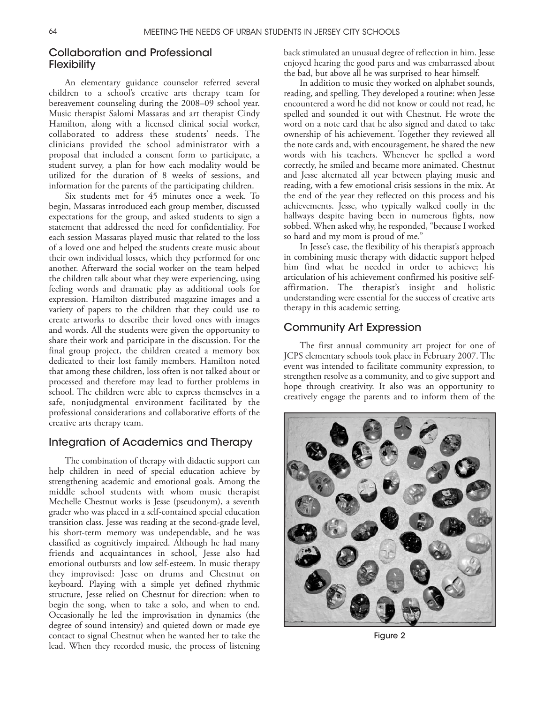#### Collaboration and Professional Flexibility

An elementary guidance counselor referred several children to a school's creative arts therapy team for bereavement counseling during the 2008–09 school year. Music therapist Salomi Massaras and art therapist Cindy Hamilton, along with a licensed clinical social worker, collaborated to address these students' needs. The clinicians provided the school administrator with a proposal that included a consent form to participate, a student survey, a plan for how each modality would be utilized for the duration of 8 weeks of sessions, and information for the parents of the participating children.

Six students met for 45 minutes once a week. To begin, Massaras introduced each group member, discussed expectations for the group, and asked students to sign a statement that addressed the need for confidentiality. For each session Massaras played music that related to the loss of a loved one and helped the students create music about their own individual losses, which they performed for one another. Afterward the social worker on the team helped the children talk about what they were experiencing, using feeling words and dramatic play as additional tools for expression. Hamilton distributed magazine images and a variety of papers to the children that they could use to create artworks to describe their loved ones with images and words. All the students were given the opportunity to share their work and participate in the discussion. For the final group project, the children created a memory box dedicated to their lost family members. Hamilton noted that among these children, loss often is not talked about or processed and therefore may lead to further problems in school. The children were able to express themselves in a safe, nonjudgmental environment facilitated by the professional considerations and collaborative efforts of the creative arts therapy team.

#### Integration of Academics and Therapy

The combination of therapy with didactic support can help children in need of special education achieve by strengthening academic and emotional goals. Among the middle school students with whom music therapist Mechelle Chestnut works is Jesse (pseudonym), a seventh grader who was placed in a self-contained special education transition class. Jesse was reading at the second-grade level, his short-term memory was undependable, and he was classified as cognitively impaired. Although he had many friends and acquaintances in school, Jesse also had emotional outbursts and low self-esteem. In music therapy they improvised: Jesse on drums and Chestnut on keyboard. Playing with a simple yet defined rhythmic structure, Jesse relied on Chestnut for direction: when to begin the song, when to take a solo, and when to end. Occasionally he led the improvisation in dynamics (the degree of sound intensity) and quieted down or made eye contact to signal Chestnut when he wanted her to take the lead. When they recorded music, the process of listening back stimulated an unusual degree of reflection in him. Jesse enjoyed hearing the good parts and was embarrassed about the bad, but above all he was surprised to hear himself.

In addition to music they worked on alphabet sounds, reading, and spelling. They developed a routine: when Jesse encountered a word he did not know or could not read, he spelled and sounded it out with Chestnut. He wrote the word on a note card that he also signed and dated to take ownership of his achievement. Together they reviewed all the note cards and, with encouragement, he shared the new words with his teachers. Whenever he spelled a word correctly, he smiled and became more animated. Chestnut and Jesse alternated all year between playing music and reading, with a few emotional crisis sessions in the mix. At the end of the year they reflected on this process and his achievements. Jesse, who typically walked coolly in the hallways despite having been in numerous fights, now sobbed. When asked why, he responded, "because I worked so hard and my mom is proud of me."

In Jesse's case, the flexibility of his therapist's approach in combining music therapy with didactic support helped him find what he needed in order to achieve; his articulation of his achievement confirmed his positive selfaffirmation. The therapist's insight and holistic understanding were essential for the success of creative arts therapy in this academic setting.

## Community Art Expression

The first annual community art project for one of JCPS elementary schools took place in February 2007. The event was intended to facilitate community expression, to strengthen resolve as a community, and to give support and hope through creativity. It also was an opportunity to creatively engage the parents and to inform them of the



Figure 2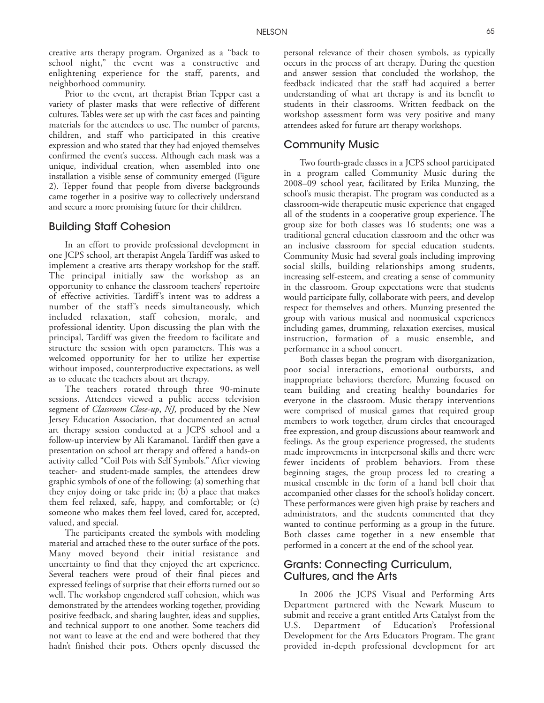creative arts therapy program. Organized as a "back to school night," the event was a constructive and enlightening experience for the staff, parents, and neighborhood community.

Prior to the event, art therapist Brian Tepper cast a variety of plaster masks that were reflective of different cultures. Tables were set up with the cast faces and painting materials for the attendees to use. The number of parents, children, and staff who participated in this creative expression and who stated that they had enjoyed themselves confirmed the event's success. Although each mask was a unique, individual creation, when assembled into one installation a visible sense of community emerged (Figure 2). Tepper found that people from diverse backgrounds came together in a positive way to collectively understand and secure a more promising future for their children.

#### Building Staff Cohesion

In an effort to provide professional development in one JCPS school, art therapist Angela Tardiff was asked to implement a creative arts therapy workshop for the staff. The principal initially saw the workshop as an opportunity to enhance the classroom teachers' repertoire of effective activities. Tardiff's intent was to address a number of the staff's needs simultaneously, which included relaxation, staff cohesion, morale, and professional identity. Upon discussing the plan with the principal, Tardiff was given the freedom to facilitate and structure the session with open parameters. This was a welcomed opportunity for her to utilize her expertise without imposed, counterproductive expectations, as well as to educate the teachers about art therapy.

The teachers rotated through three 90-minute sessions. Attendees viewed a public access television segment of *Classroom Close-up*, *NJ,* produced by the New Jersey Education Association, that documented an actual art therapy session conducted at a JCPS school and a follow-up interview by Ali Karamanol. Tardiff then gave a presentation on school art therapy and offered a hands-on activity called "Coil Pots with Self Symbols." After viewing teacher- and student-made samples, the attendees drew graphic symbols of one of the following: (a) something that they enjoy doing or take pride in; (b) a place that makes them feel relaxed, safe, happy, and comfortable; or (c) someone who makes them feel loved, cared for, accepted, valued, and special.

The participants created the symbols with modeling material and attached these to the outer surface of the pots. Many moved beyond their initial resistance and uncertainty to find that they enjoyed the art experience. Several teachers were proud of their final pieces and expressed feelings of surprise that their efforts turned out so well. The workshop engendered staff cohesion, which was demonstrated by the attendees working together, providing positive feedback, and sharing laughter, ideas and supplies, and technical support to one another. Some teachers did not want to leave at the end and were bothered that they hadn't finished their pots. Others openly discussed the

personal relevance of their chosen symbols, as typically occurs in the process of art therapy. During the question and answer session that concluded the workshop, the feedback indicated that the staff had acquired a better understanding of what art therapy is and its benefit to students in their classrooms. Written feedback on the workshop assessment form was very positive and many attendees asked for future art therapy workshops.

#### Community Music

Two fourth-grade classes in a JCPS school participated in a program called Community Music during the 2008–09 school year, facilitated by Erika Munzing, the school's music therapist. The program was conducted as a classroom-wide therapeutic music experience that engaged all of the students in a cooperative group experience. The group size for both classes was 16 students; one was a traditional general education classroom and the other was an inclusive classroom for special education students. Community Music had several goals including improving social skills, building relationships among students, increasing self-esteem, and creating a sense of community in the classroom. Group expectations were that students would participate fully, collaborate with peers, and develop respect for themselves and others. Munzing presented the group with various musical and nonmusical experiences including games, drumming, relaxation exercises, musical instruction, formation of a music ensemble, and performance in a school concert.

Both classes began the program with disorganization, poor social interactions, emotional outbursts, and inappropriate behaviors; therefore, Munzing focused on team building and creating healthy boundaries for everyone in the classroom. Music therapy interventions were comprised of musical games that required group members to work together, drum circles that encouraged free expression, and group discussions about teamwork and feelings. As the group experience progressed, the students made improvements in interpersonal skills and there were fewer incidents of problem behaviors. From these beginning stages, the group process led to creating a musical ensemble in the form of a hand bell choir that accompanied other classes for the school's holiday concert. These performances were given high praise by teachers and administrators, and the students commented that they wanted to continue performing as a group in the future. Both classes came together in a new ensemble that performed in a concert at the end of the school year.

#### Grants: Connecting Curriculum, Cultures, and the Arts

In 2006 the JCPS Visual and Performing Arts Department partnered with the Newark Museum to submit and receive a grant entitled Arts Catalyst from the U.S. Department of Education's Professional Development for the Arts Educators Program. The grant provided in-depth professional development for art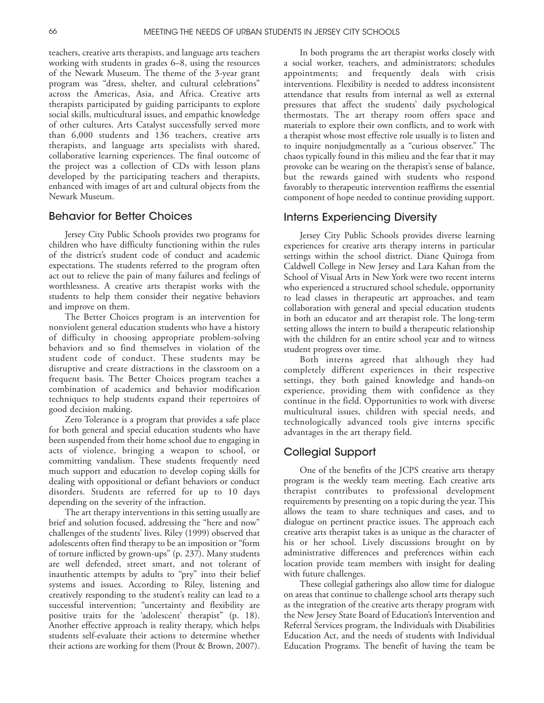teachers, creative arts therapists, and language arts teachers working with students in grades 6–8, using the resources of the Newark Museum. The theme of the 3-year grant program was "dress, shelter, and cultural celebrations" across the Americas, Asia, and Africa. Creative arts therapists participated by guiding participants to explore social skills, multicultural issues, and empathic knowledge of other cultures. Arts Catalyst successfully served more than 6,000 students and 136 teachers, creative arts therapists, and language arts specialists with shared, collaborative learning experiences. The final outcome of the project was a collection of CDs with lesson plans developed by the participating teachers and therapists, enhanced with images of art and cultural objects from the Newark Museum.

#### Behavior for Better Choices

Jersey City Public Schools provides two programs for children who have difficulty functioning within the rules of the district's student code of conduct and academic expectations. The students referred to the program often act out to relieve the pain of many failures and feelings of worthlessness. A creative arts therapist works with the students to help them consider their negative behaviors and improve on them.

The Better Choices program is an intervention for nonviolent general education students who have a history of difficulty in choosing appropriate problem-solving behaviors and so find themselves in violation of the student code of conduct. These students may be disruptive and create distractions in the classroom on a frequent basis. The Better Choices program teaches a combination of academics and behavior modification techniques to help students expand their repertoires of good decision making.

Zero Tolerance is a program that provides a safe place for both general and special education students who have been suspended from their home school due to engaging in acts of violence, bringing a weapon to school, or committing vandalism. These students frequently need much support and education to develop coping skills for dealing with oppositional or defiant behaviors or conduct disorders. Students are referred for up to 10 days depending on the severity of the infraction.

The art therapy interventions in this setting usually are brief and solution focused, addressing the "here and now" challenges of the students' lives. Riley (1999) observed that adolescents often find therapy to be an imposition or "form of torture inflicted by grown-ups" (p. 237). Many students are well defended, street smart, and not tolerant of inauthentic attempts by adults to "pry" into their belief systems and issues. According to Riley, listening and creatively responding to the student's reality can lead to a successful intervention; "uncertainty and flexibility are positive traits for the 'adolescent' therapist" (p. 18). Another effective approach is reality therapy, which helps students self-evaluate their actions to determine whether their actions are working for them (Prout & Brown, 2007).

In both programs the art therapist works closely with a social worker, teachers, and administrators; schedules appointments; and frequently deals with crisis interventions. Flexibility is needed to address inconsistent attendance that results from internal as well as external pressures that affect the students' daily psychological thermostats. The art therapy room offers space and materials to explore their own conflicts, and to work with a therapist whose most effective role usually is to listen and to inquire nonjudgmentally as a "curious observer." The chaos typically found in this milieu and the fear that it may provoke can be wearing on the therapist's sense of balance, but the rewards gained with students who respond favorably to therapeutic intervention reaffirms the essential component of hope needed to continue providing support.

#### Interns Experiencing Diversity

Jersey City Public Schools provides diverse learning experiences for creative arts therapy interns in particular settings within the school district. Diane Quiroga from Caldwell College in New Jersey and Lara Kahan from the School of Visual Arts in New York were two recent interns who experienced a structured school schedule, opportunity to lead classes in therapeutic art approaches, and team collaboration with general and special education students in both an educator and art therapist role. The long-term setting allows the intern to build a therapeutic relationship with the children for an entire school year and to witness student progress over time.

Both interns agreed that although they had completely different experiences in their respective settings, they both gained knowledge and hands-on experience, providing them with confidence as they continue in the field. Opportunities to work with diverse multicultural issues, children with special needs, and technologically advanced tools give interns specific advantages in the art therapy field.

#### Collegial Support

One of the benefits of the JCPS creative arts therapy program is the weekly team meeting. Each creative arts therapist contributes to professional development requirements by presenting on a topic during the year. This allows the team to share techniques and cases, and to dialogue on pertinent practice issues. The approach each creative arts therapist takes is as unique as the character of his or her school. Lively discussions brought on by administrative differences and preferences within each location provide team members with insight for dealing with future challenges.

These collegial gatherings also allow time for dialogue on areas that continue to challenge school arts therapy such as the integration of the creative arts therapy program with the New Jersey State Board of Education's Intervention and Referral Services program, the Individuals with Disabilities Education Act, and the needs of students with Individual Education Programs. The benefit of having the team be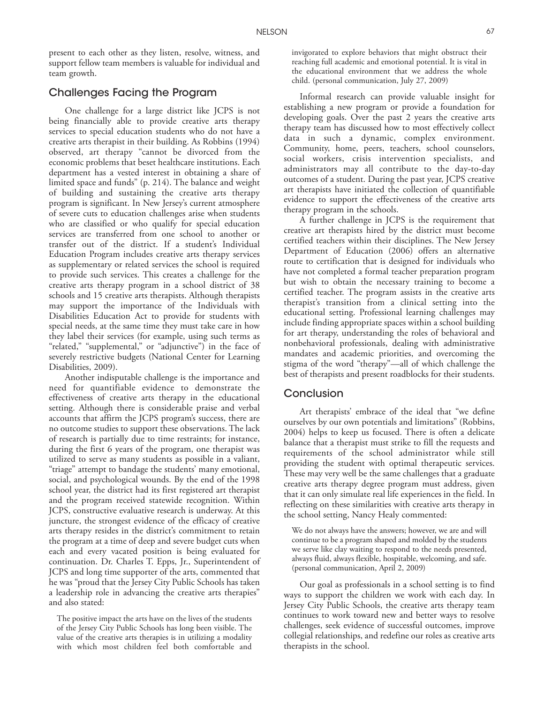present to each other as they listen, resolve, witness, and support fellow team members is valuable for individual and team growth.

#### Challenges Facing the Program

One challenge for a large district like JCPS is not being financially able to provide creative arts therapy services to special education students who do not have a creative arts therapist in their building. As Robbins (1994) observed, art therapy "cannot be divorced from the economic problems that beset healthcare institutions. Each department has a vested interest in obtaining a share of limited space and funds" (p. 214). The balance and weight of building and sustaining the creative arts therapy program is significant. In New Jersey's current atmosphere of severe cuts to education challenges arise when students who are classified or who qualify for special education services are transferred from one school to another or transfer out of the district. If a student's Individual Education Program includes creative arts therapy services as supplementary or related services the school is required to provide such services. This creates a challenge for the creative arts therapy program in a school district of 38 schools and 15 creative arts therapists. Although therapists may support the importance of the Individuals with Disabilities Education Act to provide for students with special needs, at the same time they must take care in how they label their services (for example, using such terms as "related," "supplemental," or "adjunctive") in the face of severely restrictive budgets (National Center for Learning Disabilities, 2009).

Another indisputable challenge is the importance and need for quantifiable evidence to demonstrate the effectiveness of creative arts therapy in the educational setting. Although there is considerable praise and verbal accounts that affirm the JCPS program's success, there are no outcome studies to support these observations. The lack of research is partially due to time restraints; for instance, during the first 6 years of the program, one therapist was utilized to serve as many students as possible in a valiant, "triage" attempt to bandage the students' many emotional, social, and psychological wounds. By the end of the 1998 school year, the district had its first registered art therapist and the program received statewide recognition. Within JCPS, constructive evaluative research is underway. At this juncture, the strongest evidence of the efficacy of creative arts therapy resides in the district's commitment to retain the program at a time of deep and severe budget cuts when each and every vacated position is being evaluated for continuation. Dr. Charles T. Epps, Jr., Superintendent of JCPS and long time supporter of the arts, commented that he was "proud that the Jersey City Public Schools has taken a leadership role in advancing the creative arts therapies" and also stated:

The positive impact the arts have on the lives of the students of the Jersey City Public Schools has long been visible. The value of the creative arts therapies is in utilizing a modality with which most children feel both comfortable and

invigorated to explore behaviors that might obstruct their reaching full academic and emotional potential. It is vital in the educational environment that we address the whole child. (personal communication, July 27, 2009)

Informal research can provide valuable insight for establishing a new program or provide a foundation for developing goals. Over the past 2 years the creative arts therapy team has discussed how to most effectively collect data in such a dynamic, complex environment. Community, home, peers, teachers, school counselors, social workers, crisis intervention specialists, and administrators may all contribute to the day-to-day outcomes of a student. During the past year, JCPS creative art therapists have initiated the collection of quantifiable evidence to support the effectiveness of the creative arts therapy program in the schools.

A further challenge in JCPS is the requirement that creative art therapists hired by the district must become certified teachers within their disciplines. The New Jersey Department of Education (2006) offers an alternative route to certification that is designed for individuals who have not completed a formal teacher preparation program but wish to obtain the necessary training to become a certified teacher. The program assists in the creative arts therapist's transition from a clinical setting into the educational setting. Professional learning challenges may include finding appropriate spaces within a school building for art therapy, understanding the roles of behavioral and nonbehavioral professionals, dealing with administrative mandates and academic priorities, and overcoming the stigma of the word "therapy"—all of which challenge the best of therapists and present roadblocks for their students.

#### Conclusion

Art therapists' embrace of the ideal that "we define ourselves by our own potentials and limitations" (Robbins, 2004) helps to keep us focused. There is often a delicate balance that a therapist must strike to fill the requests and requirements of the school administrator while still providing the student with optimal therapeutic services. These may very well be the same challenges that a graduate creative arts therapy degree program must address, given that it can only simulate real life experiences in the field. In reflecting on these similarities with creative arts therapy in the school setting, Nancy Healy commented:

We do not always have the answers; however, we are and will continue to be a program shaped and molded by the students we serve like clay waiting to respond to the needs presented, always fluid, always flexible, hospitable, welcoming, and safe. (personal communication, April 2, 2009)

Our goal as professionals in a school setting is to find ways to support the children we work with each day. In Jersey City Public Schools, the creative arts therapy team continues to work toward new and better ways to resolve challenges, seek evidence of successful outcomes, improve collegial relationships, and redefine our roles as creative arts therapists in the school.